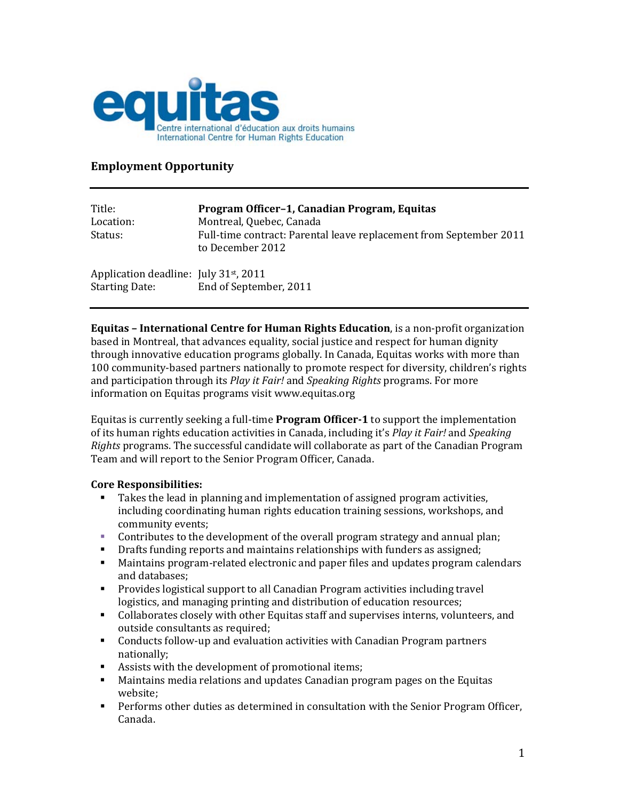

Starting Date: End of September, 2011

## **Employment Opportunity**

| Title:<br>Location:                                | Program Officer-1, Canadian Program, Equitas<br>Montreal, Quebec, Canada               |
|----------------------------------------------------|----------------------------------------------------------------------------------------|
| Status:                                            | Full-time contract: Parental leave replacement from September 2011<br>to December 2012 |
| Application deadline: July 31 <sup>st</sup> , 2011 |                                                                                        |

**Equitas – International Centre for Human Rights Education**, is a non‐profit organization based in Montreal, that advances equality, social justice and respect for human dignity through innovative education programs globally. In Canada, Equitas works with more than 100 community-based partners nationally to promote respect for diversity, children's rights and participation through its *Play it Fair!* and *Speaking Rights* programs. For more information on Equitas programs visit www.equitas.org

Equitas is currently seeking a full‐time **Program Officer1** to support the implementation of its human rights education activities in Canada, including it's *Play it Fair!* and *Speaking Rights* programs. The successful candidate will collaborate as part of the Canadian Program Team and will report to the Senior Program Officer, Canada.

## **Core Responsibilities:**

- Takes the lead in planning and implementation of assigned program activities, including coordinating human rights education training sessions, workshops, and community events;
- Contributes to the development of the overall program strategy and annual plan;
- Drafts funding reports and maintains relationships with funders as assigned;
- Maintains program‐related electronic and paper files and updates program calendars and databases;
- Provides logistical support to all Canadian Program activities including travel logistics, and managing printing and distribution of education resources;
- Collaborates closely with other Equitas staff and supervises interns, volunteers, and outside consultants as required;
- Conducts follow-up and evaluation activities with Canadian Program partners nationally;
- Assists with the development of promotional items;
- Maintains media relations and updates Canadian program pages on the Equitas website;
- Performs other duties as determined in consultation with the Senior Program Officer, Canada.